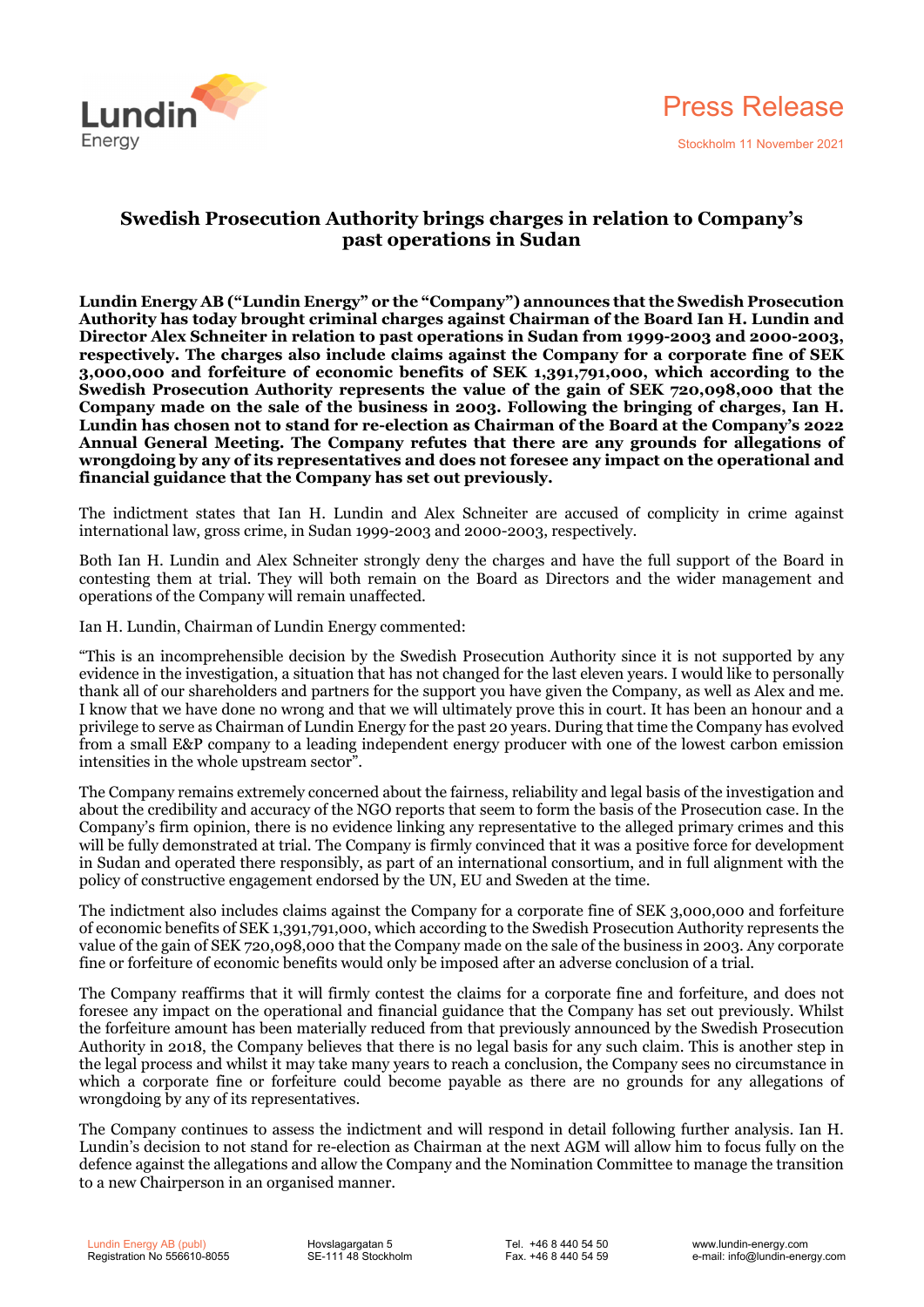

## **Swedish Prosecution Authority brings charges in relation to Company's past operations in Sudan**

**Lundin Energy AB ("Lundin Energy" or the "Company") announces that the Swedish Prosecution Authority has today brought criminal charges against Chairman of the Board Ian H. Lundin and Director Alex Schneiter in relation to past operations in Sudan from 1999-2003 and 2000-2003, respectively. The charges also include claims against the Company for a corporate fine of SEK 3,000,000 and forfeiture of economic benefits of SEK 1,391,791,000, which according to the Swedish Prosecution Authority represents the value of the gain of SEK 720,098,000 that the Company made on the sale of the business in 2003. Following the bringing of charges, Ian H. Lundin has chosen not to stand for re-election as Chairman of the Board at the Company's 2022 Annual General Meeting. The Company refutes that there are any grounds for allegations of wrongdoing by any of its representatives and does not foresee any impact on the operational and financial guidance that the Company has set out previously.** 

The indictment states that Ian H. Lundin and Alex Schneiter are accused of complicity in crime against international law, gross crime, in Sudan 1999-2003 and 2000-2003, respectively.

Both Ian H. Lundin and Alex Schneiter strongly deny the charges and have the full support of the Board in contesting them at trial. They will both remain on the Board as Directors and the wider management and operations of the Company will remain unaffected.

Ian H. Lundin, Chairman of Lundin Energy commented:

"This is an incomprehensible decision by the Swedish Prosecution Authority since it is not supported by any evidence in the investigation, a situation that has not changed for the last eleven years. I would like to personally thank all of our shareholders and partners for the support you have given the Company, as well as Alex and me. I know that we have done no wrong and that we will ultimately prove this in court. It has been an honour and a privilege to serve as Chairman of Lundin Energy for the past 20 years. During that time the Company has evolved from a small E&P company to a leading independent energy producer with one of the lowest carbon emission intensities in the whole upstream sector".

The Company remains extremely concerned about the fairness, reliability and legal basis of the investigation and about the credibility and accuracy of the NGO reports that seem to form the basis of the Prosecution case. In the Company's firm opinion, there is no evidence linking any representative to the alleged primary crimes and this will be fully demonstrated at trial. The Company is firmly convinced that it was a positive force for development in Sudan and operated there responsibly, as part of an international consortium, and in full alignment with the policy of constructive engagement endorsed by the UN, EU and Sweden at the time.

The indictment also includes claims against the Company for a corporate fine of SEK 3,000,000 and forfeiture of economic benefits of SEK 1,391,791,000, which according to the Swedish Prosecution Authority represents the value of the gain of SEK 720,098,000 that the Company made on the sale of the business in 2003. Any corporate fine or forfeiture of economic benefits would only be imposed after an adverse conclusion of a trial.

The Company reaffirms that it will firmly contest the claims for a corporate fine and forfeiture, and does not foresee any impact on the operational and financial guidance that the Company has set out previously. Whilst the forfeiture amount has been materially reduced from that previously announced by the Swedish Prosecution Authority in 2018, the Company believes that there is no legal basis for any such claim. This is another step in the legal process and whilst it may take many years to reach a conclusion, the Company sees no circumstance in which a corporate fine or forfeiture could become payable as there are no grounds for any allegations of wrongdoing by any of its representatives.

The Company continues to assess the indictment and will respond in detail following further analysis. Ian H. Lundin's decision to not stand for re-election as Chairman at the next AGM will allow him to focus fully on the defence against the allegations and allow the Company and the Nomination Committee to manage the transition to a new Chairperson in an organised manner.